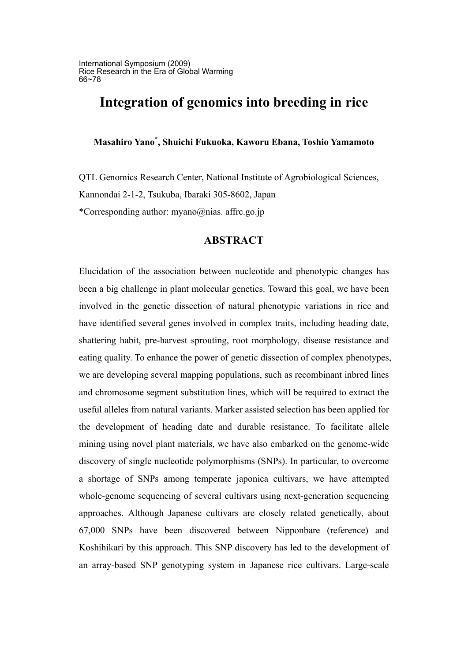# **Integration of genomics into breeding in rice**

**Masahiro Yano\* , Shuichi Fukuoka, Kaworu Ebana, Toshio Yamamoto**

QTL Genomics Research Center, National Institute of Agrobiological Sciences, Kannondai 2-1-2, Tsukuba, Ibaraki 305-8602, Japan \*Corresponding author: myano@nias. affrc.go.jp

## **ABSTRACT**

Elucidation of the association between nucleotide and phenotypic changes has been a big challenge in plant molecular genetics. Toward this goal, we have been involved in the genetic dissection of natural phenotypic variations in rice and have identified several genes involved in complex traits, including heading date, shattering habit, pre-harvest sprouting, root morphology, disease resistance and eating quality. To enhance the power of genetic dissection of complex phenotypes, we are developing several mapping populations, such as recombinant inbred lines and chromosome segment substitution lines, which will be required to extract the useful alleles from natural variants. Marker assisted selection has been applied for the development of heading date and durable resistance. To facilitate allele mining using novel plant materials, we have also embarked on the genome-wide discovery of single nucleotide polymorphisms (SNPs). In particular, to overcome a shortage of SNPs among temperate japonica cultivars, we have attempted whole-genome sequencing of several cultivars using next-generation sequencing approaches. Although Japanese cultivars are closely related genetically, about 67,000 SNPs have been discovered between Nipponbare (reference) and Koshihikari by this approach. This SNP discovery has led to the development of an array-based SNP genotyping system in Japanese rice cultivars. Large-scale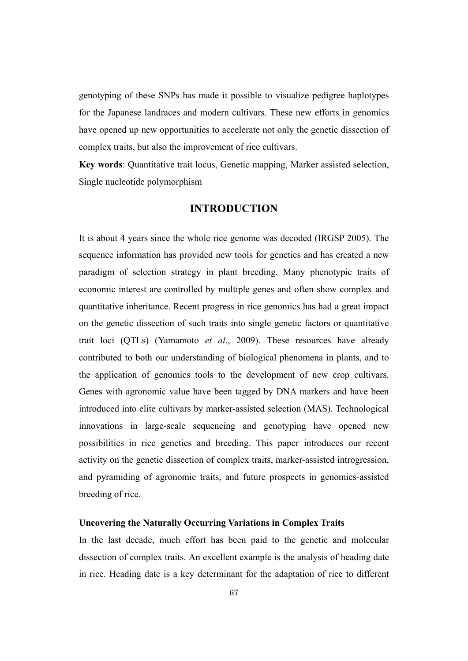genotyping of these SNPs has made it possible to visualize pedigree haplotypes for the Japanese landraces and modern cultivars. These new efforts in genomics have opened up new opportunities to accelerate not only the genetic dissection of complex traits, but also the improvement of rice cultivars.

**Key words**: Quantitative trait locus, Genetic mapping, Marker assisted selection, Single nucleotide polymorphism

## **INTRODUCTION**

It is about 4 years since the whole rice genome was decoded (IRGSP 2005). The sequence information has provided new tools for genetics and has created a new paradigm of selection strategy in plant breeding. Many phenotypic traits of economic interest are controlled by multiple genes and often show complex and quantitative inheritance. Recent progress in rice genomics has had a great impact on the genetic dissection of such traits into single genetic factors or quantitative trait loci (QTLs) (Yamamoto *et al*., 2009). These resources have already contributed to both our understanding of biological phenomena in plants, and to the application of genomics tools to the development of new crop cultivars. Genes with agronomic value have been tagged by DNA markers and have been introduced into elite cultivars by marker-assisted selection (MAS). Technological innovations in large-scale sequencing and genotyping have opened new possibilities in rice genetics and breeding. This paper introduces our recent activity on the genetic dissection of complex traits, marker-assisted introgression, and pyramiding of agronomic traits, and future prospects in genomics-assisted breeding of rice.

#### **Uncovering the Naturally Occurring Variations in Complex Traits**

In the last decade, much effort has been paid to the genetic and molecular dissection of complex traits. An excellent example is the analysis of heading date in rice. Heading date is a key determinant for the adaptation of rice to different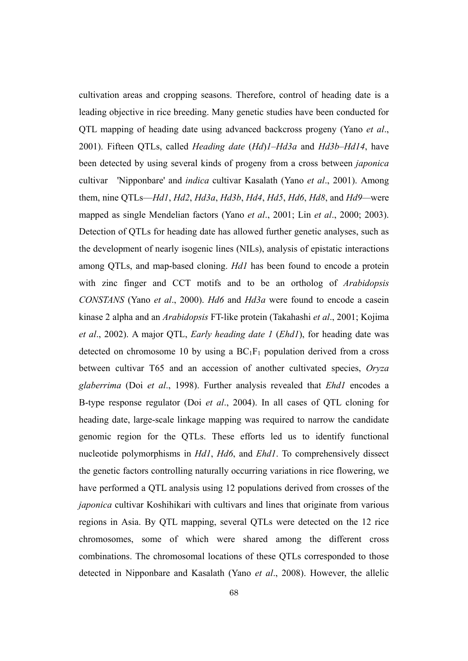cultivation areas and cropping seasons. Therefore, control of heading date is a leading objective in rice breeding. Many genetic studies have been conducted for QTL mapping of heading date using advanced backcross progeny (Yano *et al*., 2001). Fifteen QTLs, called *Heading date* (*Hd*)*1–Hd3a* and *Hd3b–Hd14*, have been detected by using several kinds of progeny from a cross between *japonica* cultivar 'Nipponbare' and *indica* cultivar Kasalath (Yano *et al*., 2001). Among them, nine QTLs—*Hd1*, *Hd2*, *Hd3a*, *Hd3b*, *Hd4*, *Hd5*, *Hd6*, *Hd8*, and *Hd9—*were mapped as single Mendelian factors (Yano *et al*., 2001; Lin *et al*., 2000; 2003). Detection of QTLs for heading date has allowed further genetic analyses, such as the development of nearly isogenic lines (NILs), analysis of epistatic interactions among QTLs, and map-based cloning. *Hd1* has been found to encode a protein with zinc finger and CCT motifs and to be an ortholog of *Arabidopsis CONSTANS* (Yano *et al*., 2000). *Hd6* and *Hd3a* were found to encode a casein kinase 2 alpha and an *Arabidopsis* FT-like protein (Takahashi *et al*., 2001; Kojima *et al*., 2002). A major QTL, *Early heading date 1* (*Ehd1*), for heading date was detected on chromosome 10 by using a  $BC_1F_1$  population derived from a cross between cultivar T65 and an accession of another cultivated species, *Oryza glaberrima* (Doi *et al*., 1998). Further analysis revealed that *Ehd1* encodes a B-type response regulator (Doi *et al*., 2004). In all cases of QTL cloning for heading date, large-scale linkage mapping was required to narrow the candidate genomic region for the QTLs. These efforts led us to identify functional nucleotide polymorphisms in *Hd1*, *Hd6*, and *Ehd1*. To comprehensively dissect the genetic factors controlling naturally occurring variations in rice flowering, we have performed a QTL analysis using 12 populations derived from crosses of the *japonica* cultivar Koshihikari with cultivars and lines that originate from various regions in Asia. By QTL mapping, several QTLs were detected on the 12 rice chromosomes, some of which were shared among the different cross combinations. The chromosomal locations of these QTLs corresponded to those detected in Nipponbare and Kasalath (Yano *et al*., 2008). However, the allelic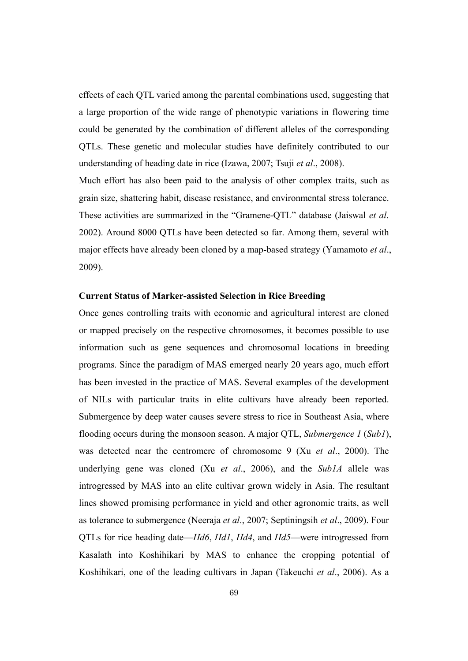effects of each QTL varied among the parental combinations used, suggesting that a large proportion of the wide range of phenotypic variations in flowering time could be generated by the combination of different alleles of the corresponding QTLs. These genetic and molecular studies have definitely contributed to our understanding of heading date in rice (Izawa, 2007; Tsuji *et al*., 2008).

Much effort has also been paid to the analysis of other complex traits, such as grain size, shattering habit, disease resistance, and environmental stress tolerance. These activities are summarized in the "Gramene-QTL" database (Jaiswal *et al*. 2002). Around 8000 QTLs have been detected so far. Among them, several with major effects have already been cloned by a map-based strategy (Yamamoto *et al*., 2009).

## **Current Status of Marker-assisted Selection in Rice Breeding**

Once genes controlling traits with economic and agricultural interest are cloned or mapped precisely on the respective chromosomes, it becomes possible to use information such as gene sequences and chromosomal locations in breeding programs. Since the paradigm of MAS emerged nearly 20 years ago, much effort has been invested in the practice of MAS. Several examples of the development of NILs with particular traits in elite cultivars have already been reported. Submergence by deep water causes severe stress to rice in Southeast Asia, where flooding occurs during the monsoon season. A major QTL, *Submergence 1* (*Sub1*), was detected near the centromere of chromosome 9 (Xu *et al*., 2000). The underlying gene was cloned (Xu *et al*., 2006), and the *Sub1A* allele was introgressed by MAS into an elite cultivar grown widely in Asia. The resultant lines showed promising performance in yield and other agronomic traits, as well as tolerance to submergence (Neeraja *et al*., 2007; Septiningsih *et al*., 2009). Four QTLs for rice heading date—*Hd6*, *Hd1*, *Hd4*, and *Hd5*—were introgressed from Kasalath into Koshihikari by MAS to enhance the cropping potential of Koshihikari, one of the leading cultivars in Japan (Takeuchi *et al*., 2006). As a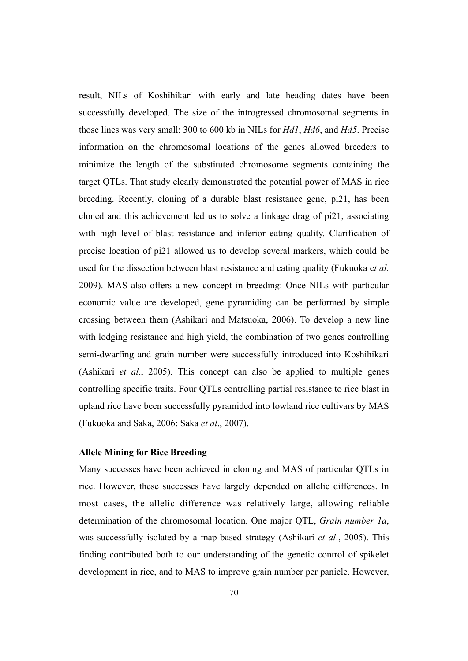result, NILs of Koshihikari with early and late heading dates have been successfully developed. The size of the introgressed chromosomal segments in those lines was very small: 300 to 600 kb in NILs for *Hd1*, *Hd6*, and *Hd5*. Precise information on the chromosomal locations of the genes allowed breeders to minimize the length of the substituted chromosome segments containing the target QTLs. That study clearly demonstrated the potential power of MAS in rice breeding. Recently, cloning of a durable blast resistance gene, pi21, has been cloned and this achievement led us to solve a linkage drag of pi21, associating with high level of blast resistance and inferior eating quality. Clarification of precise location of pi21 allowed us to develop several markers, which could be used for the dissection between blast resistance and eating quality (Fukuoka e*t al*. 2009). MAS also offers a new concept in breeding: Once NILs with particular economic value are developed, gene pyramiding can be performed by simple crossing between them (Ashikari and Matsuoka, 2006). To develop a new line with lodging resistance and high yield, the combination of two genes controlling semi-dwarfing and grain number were successfully introduced into Koshihikari (Ashikari *et al*., 2005). This concept can also be applied to multiple genes controlling specific traits. Four QTLs controlling partial resistance to rice blast in upland rice have been successfully pyramided into lowland rice cultivars by MAS (Fukuoka and Saka, 2006; Saka *et al*., 2007).

## **Allele Mining for Rice Breeding**

Many successes have been achieved in cloning and MAS of particular QTLs in rice. However, these successes have largely depended on allelic differences. In most cases, the allelic difference was relatively large, allowing reliable determination of the chromosomal location. One major QTL, *Grain number 1a*, was successfully isolated by a map-based strategy (Ashikari *et al*., 2005). This finding contributed both to our understanding of the genetic control of spikelet development in rice, and to MAS to improve grain number per panicle. However,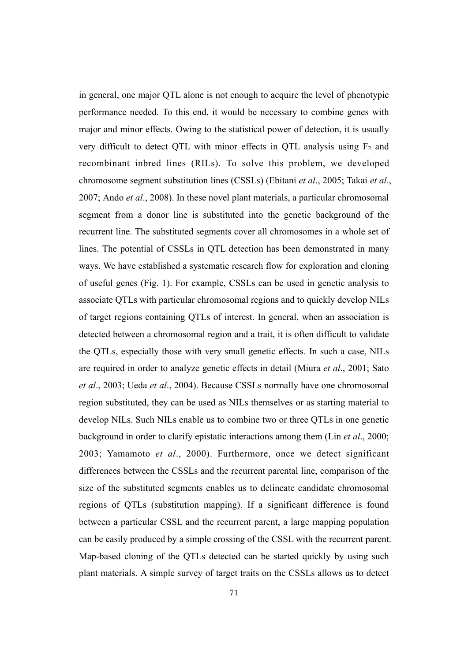in general, one major QTL alone is not enough to acquire the level of phenotypic performance needed. To this end, it would be necessary to combine genes with major and minor effects. Owing to the statistical power of detection, it is usually very difficult to detect QTL with minor effects in QTL analysis using  $F_2$  and recombinant inbred lines (RILs). To solve this problem, we developed chromosome segment substitution lines (CSSLs) (Ebitani *et al*., 2005; Takai *et al*., 2007; Ando *et al*., 2008). In these novel plant materials, a particular chromosomal segment from a donor line is substituted into the genetic background of the recurrent line. The substituted segments cover all chromosomes in a whole set of lines. The potential of CSSLs in QTL detection has been demonstrated in many ways. We have established a systematic research flow for exploration and cloning of useful genes (Fig. 1). For example, CSSLs can be used in genetic analysis to associate QTLs with particular chromosomal regions and to quickly develop NILs of target regions containing QTLs of interest. In general, when an association is detected between a chromosomal region and a trait, it is often difficult to validate the QTLs, especially those with very small genetic effects. In such a case, NILs are required in order to analyze genetic effects in detail (Miura *et al*., 2001; Sato *et al*., 2003; Ueda *et al*., 2004). Because CSSLs normally have one chromosomal region substituted, they can be used as NILs themselves or as starting material to develop NILs. Such NILs enable us to combine two or three QTLs in one genetic background in order to clarify epistatic interactions among them (Lin *et al*., 2000; 2003; Yamamoto *et al*., 2000). Furthermore, once we detect significant differences between the CSSLs and the recurrent parental line, comparison of the size of the substituted segments enables us to delineate candidate chromosomal regions of QTLs (substitution mapping). If a significant difference is found between a particular CSSL and the recurrent parent, a large mapping population can be easily produced by a simple crossing of the CSSL with the recurrent parent. Map-based cloning of the QTLs detected can be started quickly by using such plant materials. A simple survey of target traits on the CSSLs allows us to detect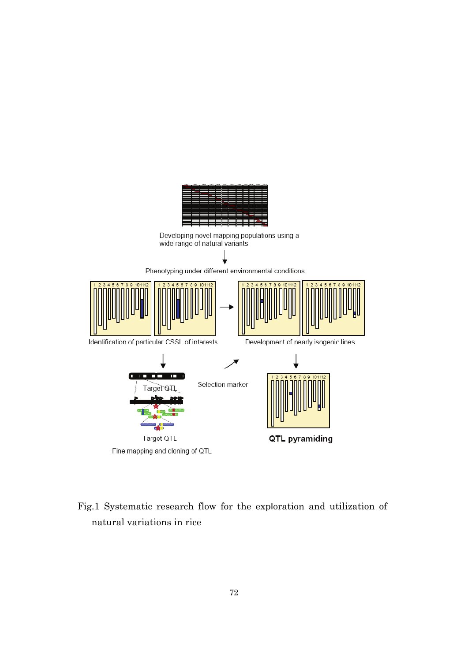

Fig.1 Systematic research flow for the exploration and utilization of

natural variations in rice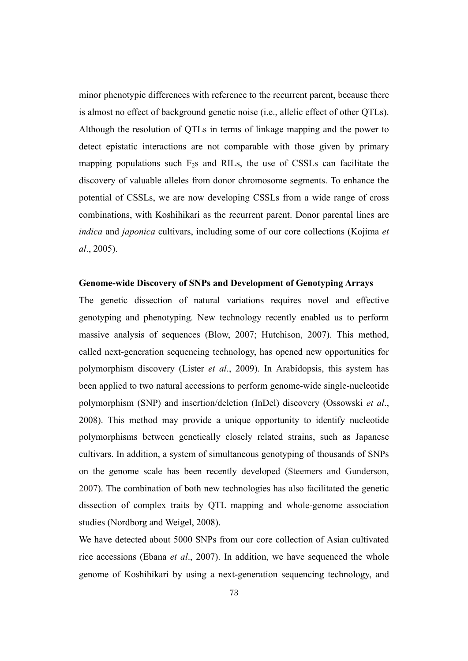minor phenotypic differences with reference to the recurrent parent, because there is almost no effect of background genetic noise (i.e., allelic effect of other QTLs). Although the resolution of QTLs in terms of linkage mapping and the power to detect epistatic interactions are not comparable with those given by primary mapping populations such  $F_2s$  and RILs, the use of CSSLs can facilitate the discovery of valuable alleles from donor chromosome segments. To enhance the potential of CSSLs, we are now developing CSSLs from a wide range of cross combinations, with Koshihikari as the recurrent parent. Donor parental lines are *indica* and *japonica* cultivars, including some of our core collections (Kojima *et al*., 2005).

#### **Genome-wide Discovery of SNPs and Development of Genotyping Arrays**

The genetic dissection of natural variations requires novel and effective genotyping and phenotyping. New technology recently enabled us to perform massive analysis of sequences (Blow, 2007; Hutchison, 2007). This method, called next-generation sequencing technology, has opened new opportunities for polymorphism discovery (Lister *et al*., 2009). In Arabidopsis, this system has been applied to two natural accessions to perform genome-wide single-nucleotide polymorphism (SNP) and insertion/deletion (InDel) discovery (Ossowski *et al*., 2008). This method may provide a unique opportunity to identify nucleotide polymorphisms between genetically closely related strains, such as Japanese cultivars. In addition, a system of simultaneous genotyping of thousands of SNPs on the genome scale has been recently developed (Steemers and Gunderson, 2007). The combination of both new technologies has also facilitated the genetic dissection of complex traits by QTL mapping and whole-genome association studies (Nordborg and Weigel, 2008).

We have detected about 5000 SNPs from our core collection of Asian cultivated rice accessions (Ebana *et al*., 2007). In addition, we have sequenced the whole genome of Koshihikari by using a next-generation sequencing technology, and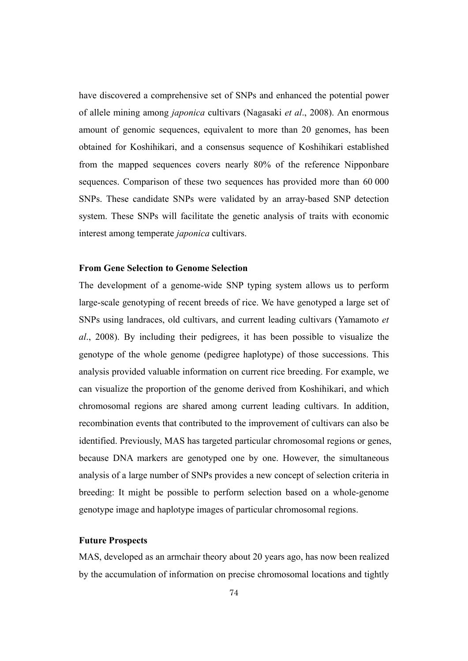have discovered a comprehensive set of SNPs and enhanced the potential power of allele mining among *japonica* cultivars (Nagasaki *et al*., 2008). An enormous amount of genomic sequences, equivalent to more than 20 genomes, has been obtained for Koshihikari, and a consensus sequence of Koshihikari established from the mapped sequences covers nearly 80% of the reference Nipponbare sequences. Comparison of these two sequences has provided more than 60 000 SNPs. These candidate SNPs were validated by an array-based SNP detection system. These SNPs will facilitate the genetic analysis of traits with economic interest among temperate *japonica* cultivars.

#### **From Gene Selection to Genome Selection**

The development of a genome-wide SNP typing system allows us to perform large-scale genotyping of recent breeds of rice. We have genotyped a large set of SNPs using landraces, old cultivars, and current leading cultivars (Yamamoto *et al*., 2008). By including their pedigrees, it has been possible to visualize the genotype of the whole genome (pedigree haplotype) of those successions. This analysis provided valuable information on current rice breeding. For example, we can visualize the proportion of the genome derived from Koshihikari, and which chromosomal regions are shared among current leading cultivars. In addition, recombination events that contributed to the improvement of cultivars can also be identified. Previously, MAS has targeted particular chromosomal regions or genes, because DNA markers are genotyped one by one. However, the simultaneous analysis of a large number of SNPs provides a new concept of selection criteria in breeding: It might be possible to perform selection based on a whole-genome genotype image and haplotype images of particular chromosomal regions.

#### **Future Prospects**

MAS, developed as an armchair theory about 20 years ago, has now been realized by the accumulation of information on precise chromosomal locations and tightly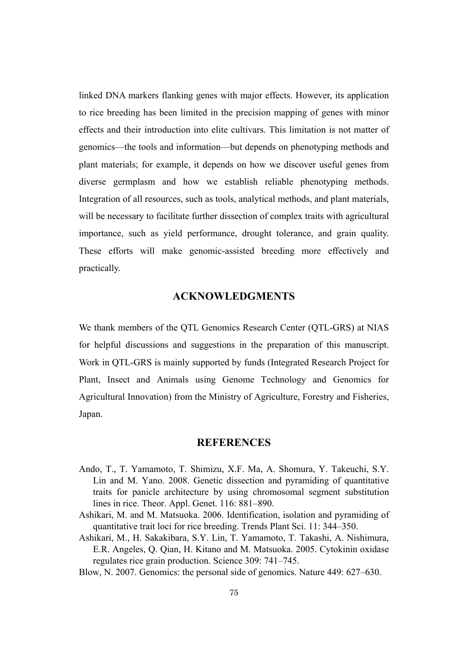linked DNA markers flanking genes with major effects. However, its application to rice breeding has been limited in the precision mapping of genes with minor effects and their introduction into elite cultivars. This limitation is not matter of genomics—the tools and information—but depends on phenotyping methods and plant materials; for example, it depends on how we discover useful genes from diverse germplasm and how we establish reliable phenotyping methods. Integration of all resources, such as tools, analytical methods, and plant materials, will be necessary to facilitate further dissection of complex traits with agricultural importance, such as yield performance, drought tolerance, and grain quality. These efforts will make genomic-assisted breeding more effectively and practically.

## **ACKNOWLEDGMENTS**

We thank members of the QTL Genomics Research Center (QTL-GRS) at NIAS for helpful discussions and suggestions in the preparation of this manuscript. Work in QTL-GRS is mainly supported by funds (Integrated Research Project for Plant, Insect and Animals using Genome Technology and Genomics for Agricultural Innovation) from the Ministry of Agriculture, Forestry and Fisheries, Japan.

## **REFERENCES**

- Ando, T., T. Yamamoto, T. Shimizu, X.F. Ma, A. Shomura, Y. Takeuchi, S.Y. Lin and M. Yano. 2008. Genetic dissection and pyramiding of quantitative traits for panicle architecture by using chromosomal segment substitution lines in rice. Theor. Appl. Genet. 116: 881–890.
- Ashikari, M. and M. Matsuoka. 2006. Identification, isolation and pyramiding of quantitative trait loci for rice breeding. Trends Plant Sci. 11: 344–350.
- Ashikari, M., H. Sakakibara, S.Y. Lin, T. Yamamoto, T. Takashi, A. Nishimura, E.R. Angeles, Q. Qian, H. Kitano and M. Matsuoka. 2005. Cytokinin oxidase regulates rice grain production. Science 309: 741–745.
- Blow, N. 2007. Genomics: the personal side of genomics. Nature 449: 627–630.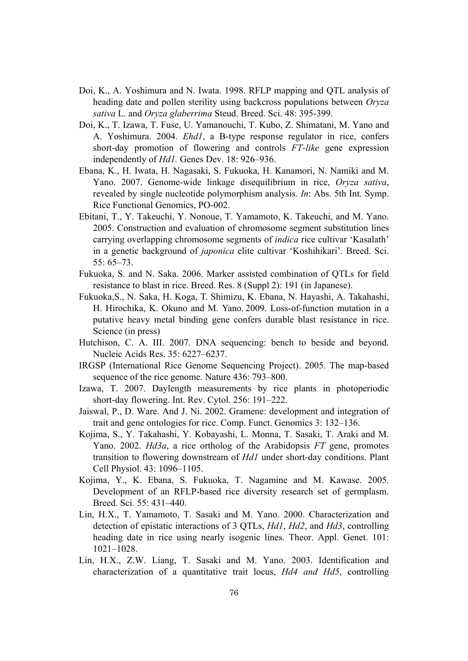- Doi, K., A. Yoshimura and N. Iwata. 1998. RFLP mapping and QTL analysis of heading date and pollen sterility using backcross populations between *Oryza sativa* L. and *Oryza glaberrima* Steud. Breed. Sci. 48: 395-399.
- Doi, K., T. Izawa, T. Fuse, U. Yamanouchi, T. Kubo, Z. Shimatani, M. Yano and A. Yoshimura. 2004. *Ehd1*, a B-type response regulator in rice, confers short-day promotion of flowering and controls *FT-like* gene expression independently of *Hd1.* Genes Dev. 18: 926–936.
- Ebana, K., H. Iwata, H. Nagasaki, S. Fukuoka, H. Kanamori, N. Namiki and M. Yano. 2007. Genome-wide linkage disequilibrium in rice, *Oryza sativa*, revealed by single nucleotide polymorphism analysis. *In*: Abs. 5th Int. Symp. Rice Functional Genomics, PO-002.
- Ebitani, T., Y. Takeuchi, Y. Nonoue, T. Yamamoto, K. Takeuchi, and M. Yano. 2005. Construction and evaluation of chromosome segment substitution lines carrying overlapping chromosome segments of *indica* rice cultivar 'Kasalath' in a genetic background of *japonica* elite cultivar 'Koshihikari'. Breed. Sci. 55: 65–73.
- Fukuoka, S. and N. Saka. 2006. Marker assisted combination of QTLs for field resistance to blast in rice. Breed. Res. 8 (Suppl 2): 191 (in Japanese).
- Fukuoka,S., N. Saka, H. Koga, T. Shimizu, K. Ebana, N. Hayashi, A. Takahashi, H. Hirochika, K. Okuno and M. Yano. 2009. Loss-of-function mutation in a putative heavy metal binding gene confers durable blast resistance in rice. Science (in press)
- Hutchison, C. A. III. 2007. DNA sequencing: bench to beside and beyond. Nucleic Acids Res. 35: 6227–6237.
- IRGSP (International Rice Genome Sequencing Project). 2005. The map-based sequence of the rice genome. Nature 436: 793–800.
- Izawa, T. 2007. Daylength measurements by rice plants in photoperiodic short-day flowering. Int. Rev. Cytol. 256: 191–222.
- Jaiswal, P., D. Ware. And J. Ni. 2002. Gramene: development and integration of trait and gene ontologies for rice. Comp. Funct. Genomics 3: 132–136.
- Kojima, S., Y. Takahashi, Y. Kobayashi, L. Monna, T. Sasaki, T. Araki and M. Yano. 2002. *Hd3a*, a rice ortholog of the Arabidopsis *FT* gene, promotes transition to flowering downstream of *Hd1* under short-day conditions. Plant Cell Physiol. 43: 1096–1105.
- Kojima, Y., K. Ebana, S. Fukuoka, T. Nagamine and M. Kawase. 2005. Development of an RFLP-based rice diversity research set of germplasm. Breed. Sci. 55: 431–440.
- Lin, H.X., T. Yamamoto, T. Sasaki and M. Yano. 2000. Characterization and detection of epistatic interactions of 3 QTLs, *Hd1*, *Hd2*, and *Hd3*, controlling heading date in rice using nearly isogenic lines. Theor. Appl. Genet. 101: 1021–1028.
- Lin, H.X., Z.W. Liang, T. Sasaki and M. Yano. 2003. Identification and characterization of a quantitative trait locus, *Hd4 and Hd5*, controlling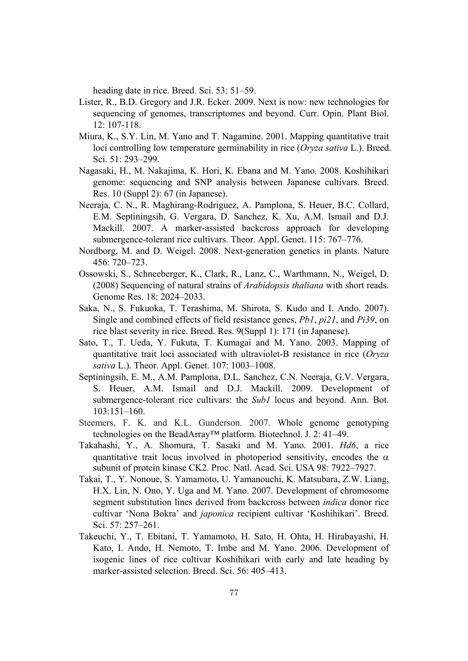heading date in rice. Breed. Sci. 53: 51–59.

- Lister, R., B.D. Gregory and J.R. Ecker. 2009. Next is now: new technologies for sequencing of genomes, transcriptomes and beyond. Curr. Opin. Plant Biol. 12: 107-118.
- Miura, K., S.Y. Lin, M. Yano and T. Nagamine. 2001. Mapping quantitative trait loci controlling low temperature germinability in rice (*Oryza sativa* L.). Breed. Sci. 51: 293–299.
- Nagasaki, H., M. Nakajima, K. Hori, K. Ebana and M. Yano. 2008. Koshihikari genome: sequencing and SNP analysis between Japanese cultivars. Breed. Res. 10 (Suppl 2): 67 (in Japanese).
- Neeraja, C. N., R. Maghirang-Rodriguez, A. Pamplona, S. Heuer, B.C. Collard, E.M. Septiningsih, G. Vergara, D. Sanchez, K. Xu, A.M. Ismail and D.J. Mackill. 2007. A marker-assisted backcross approach for developing submergence-tolerant rice cultivars. Theor. Appl. Genet. 115: 767–776.
- Nordborg, M. and D. Weigel. 2008. Next-generation genetics in plants. Nature 456: 720–723.
- Ossowski, S., Schneeberger, K., Clark, R., Lanz, C., Warthmann, N., Weigel, D. (2008) Sequencing of natural strains of *Arabidopsis thaliana* with short reads. Genome Res. 18: 2024–2033.
- Saka, N., S. Fukuoka, T. Terashima, M. Shirota, S. Kudo and I. Ando. 2007). Single and combined effects of field resistance genes, *Pb1*, *pi21*, and *Pi39*, on rice blast severity in rice. Breed. Res. 9(Suppl 1): 171 (in Japanese).
- Sato, T., T. Ueda, Y. Fukuta, T. Kumagai and M. Yano. 2003. Mapping of quantitative trait loci associated with ultraviolet-B resistance in rice (*Oryza sativa* L.). Theor. Appl. Genet. 107: 1003–1008.
- Septiningsih, E. M., A.M. Pamplona, D.L. Sanchez, C.N. Neeraja, G.V. Vergara, S. Heuer, A.M. Ismail and D.J. Mackill. 2009. Development of submergence-tolerant rice cultivars: the *Sub1* locus and beyond. Ann. Bot. 103:151–160.
- Steemers, F. K. and K.L. Gunderson. 2007. Whole genome genotyping technologies on the BeadArray™ platform. Biotechnol. J. 2: 41–49.
- Takahashi, Y., A. Shomura, T. Sasaki and M. Yano. 2001. *Hd6*, a rice quantitative trait locus involved in photoperiod sensitivity, encodes the  $\alpha$ subunit of protein kinase CK2. Proc. Natl. Acad. Sci. USA 98: 7922–7927.
- Takai, T., Y. Nonoue, S. Yamamoto, U. Yamanouchi, K. Matsubara, Z.W. Liang, H.X. Lin, N. Ono, Y. Uga and M. Yano. 2007. Development of chromosome segment substitution lines derived from backcross between *indica* donor rice cultivar 'Nona Bokra' and *japonica* recipient cultivar 'Koshihikari'. Breed. Sci. 57: 257–261.
- Takeuchi, Y., T. Ebitani, T. Yamamoto, H. Sato, H. Ohta, H. Hirabayashi, H. Kato, I. Ando, H. Nemoto, T. Imbe and M. Yano. 2006. Development of isogenic lines of rice cultivar Koshihikari with early and late heading by marker-assisted selection. Breed. Sci. 56: 405–413.